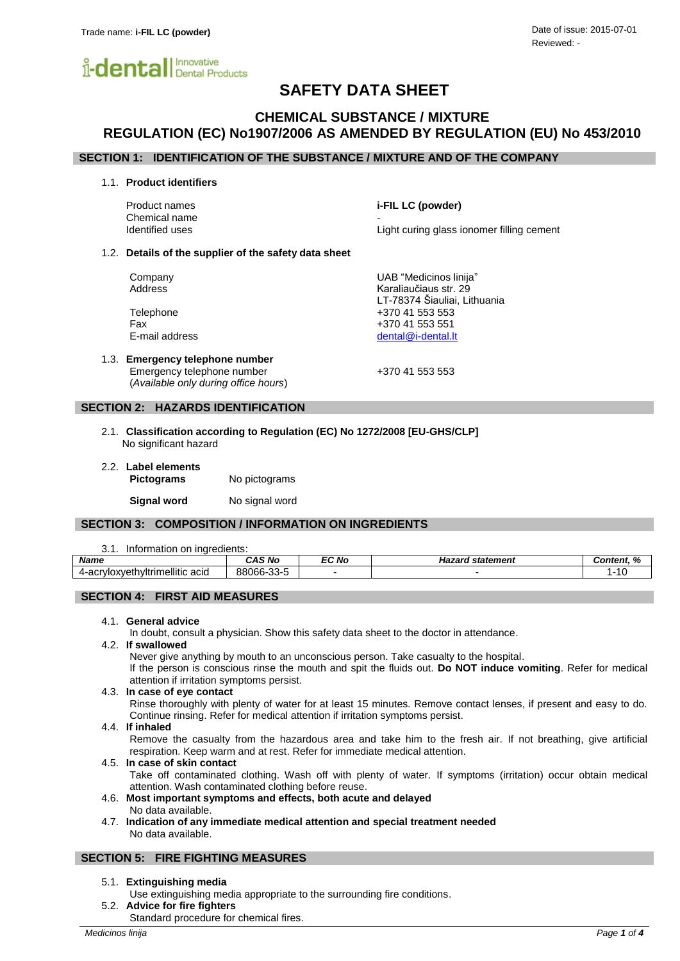

# **SAFETY DATA SHEET**

# **CHEMICAL SUBSTANCE / MIXTURE REGULATION (EC) No1907/2006 AS AMENDED BY REGULATION (EU) No 453/2010**

# **SECTION 1: IDENTIFICATION OF THE SUBSTANCE / MIXTURE AND OF THE COMPANY**

1.1. **Product identifiers**

Product names **i-FIL LC (powder)** Chemical name Identified uses Light curing glass ionomer filling cement

### 1.2. **Details of the supplier of the safety data sheet**

Company UAB "Medicinos linija" Address **Karaliaučiaus str.** 29

Telephone +370 41 553 553 Fax +370 41 553 551 E-mail address [dental@i-dental.lt](mailto:dental@i-dental.lt)

1.3. **Emergency telephone number** Emergency telephone number  $+37041553553$ (*Available only during office hours*)

LT-78374 Šiauliai, Lithuania

# **SECTION 2: HAZARDS IDENTIFICATION**

- 2.1. **Classification according to Regulation (EC) No 1272/2008 [EU-GHS/CLP]** No significant hazard
- 2.2. **Label elements Pictograms** No pictograms

**Signal word** No signal word

# **SECTION 3: COMPOSITION / INFORMATION ON INGREDIENTS**

#### 3.1. Information on ingredients:

| <b>Name</b>                                                        | <b>CAS No</b> | <b>EC No</b> | statement<br>Hazard | $\overline{a}$<br>`ontent.<br>.or<br>$\overline{ }$ |
|--------------------------------------------------------------------|---------------|--------------|---------------------|-----------------------------------------------------|
| ellitic acid<br>4-acr<br>.<br>.<br>$\Delta V P^+$<br><b>™™</b> ∪∧. | 88066-33-5    |              |                     | $\overline{ }$                                      |

# **SECTION 4: FIRST AID MEASURES**

### 4.1. **General advice**

In doubt, consult a physician. Show this safety data sheet to the doctor in attendance.

#### 4.2. **If swallowed**

Never give anything by mouth to an unconscious person. Take casualty to the hospital.

If the person is conscious rinse the mouth and spit the fluids out. **Do NOT induce vomiting**. Refer for medical attention if irritation symptoms persist.

### 4.3. **In case of eye contact**

Rinse thoroughly with plenty of water for at least 15 minutes. Remove contact lenses, if present and easy to do. Continue rinsing. Refer for medical attention if irritation symptoms persist.

### 4.4. **If inhaled**

Remove the casualty from the hazardous area and take him to the fresh air. If not breathing, give artificial respiration. Keep warm and at rest. Refer for immediate medical attention.

### 4.5. **In case of skin contact**

Take off contaminated clothing. Wash off with plenty of water. If symptoms (irritation) occur obtain medical attention. Wash contaminated clothing before reuse.

- 4.6. **Most important symptoms and effects, both acute and delayed** No data available.
- 4.7. **Indication of any immediate medical attention and special treatment needed** No data available.

# **SECTION 5: FIRE FIGHTING MEASURES**

### 5.1. **Extinguishing media**

- Use extinguishing media appropriate to the surrounding fire conditions.
- 5.2. **Advice for fire fighters** Standard procedure for chemical fires.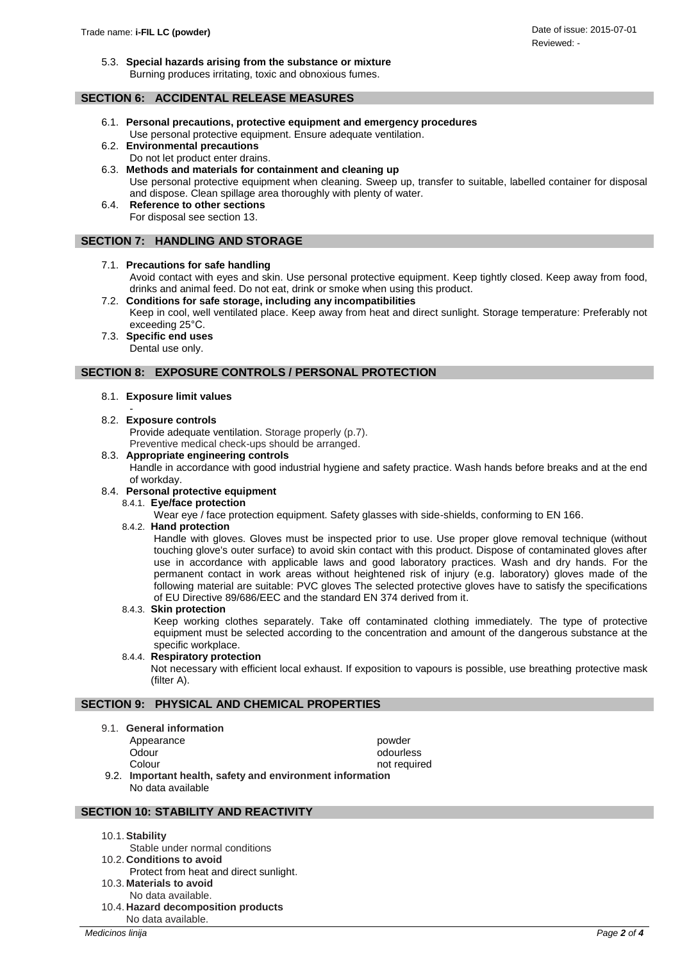5.3. **Special hazards arising from the substance or mixture** Burning produces irritating, toxic and obnoxious fumes.

# **SECTION 6: ACCIDENTAL RELEASE MEASURES**

- 6.1. **Personal precautions, protective equipment and emergency procedures** Use personal protective equipment. Ensure adequate ventilation.
- 6.2. **Environmental precautions** Do not let product enter drains.
- 6.3. **Methods and materials for containment and cleaning up** Use personal protective equipment when cleaning. Sweep up, transfer to suitable, labelled container for disposal and dispose. Clean spillage area thoroughly with plenty of water.
- 6.4. **Reference to other sections** For disposal see section 13.

# **SECTION 7: HANDLING AND STORAGE**

# 7.1. **Precautions for safe handling**

Avoid contact with eyes and skin. Use personal protective equipment. Keep tightly closed. Keep away from food, drinks and animal feed. Do not eat, drink or smoke when using this product.

- 7.2. **Conditions for safe storage, including any incompatibilities** Keep in cool, well ventilated place. Keep away from heat and direct sunlight. Storage temperature: Preferably not exceeding 25°C.
- 7.3. **Specific end uses** Dental use only.

# **SECTION 8: EXPOSURE CONTROLS / PERSONAL PROTECTION**

- 8.1. **Exposure limit values**
- 8.2. **Exposure controls**

Provide adequate ventilation. Storage properly (p.7). Preventive medical check-ups should be arranged.

8.3. **Appropriate engineering controls**

Handle in accordance with good industrial hygiene and safety practice. Wash hands before breaks and at the end of workday.

# 8.4. **Personal protective equipment**

8.4.1. **Eye/face protection**

Wear eye / face protection equipment. Safety glasses with side-shields, conforming to EN 166.

# 8.4.2. **Hand protection**

Handle with gloves. Gloves must be inspected prior to use. Use proper glove removal technique (without touching glove's outer surface) to avoid skin contact with this product. Dispose of contaminated gloves after use in accordance with applicable laws and good laboratory practices. Wash and dry hands. For the permanent contact in work areas without heightened risk of injury (e.g. laboratory) gloves made of the following material are suitable: PVC gloves The selected protective gloves have to satisfy the specifications of EU Directive 89/686/EEC and the standard EN 374 derived from it.

### 8.4.3. **Skin protection**

Keep working clothes separately. Take off contaminated clothing immediately. The type of protective equipment must be selected according to the concentration and amount of the dangerous substance at the specific workplace.

# 8.4.4. **Respiratory protection**

Not necessary with efficient local exhaust. If exposition to vapours is possible, use breathing protective mask (filter A).

# **SECTION 9: PHYSICAL AND CHEMICAL PROPERTIES**

9.1. **General information**

| Appearance<br>Odour                                       | powder<br>odourless |  |  |
|-----------------------------------------------------------|---------------------|--|--|
| Colour                                                    | not required        |  |  |
| 9.2. Important health, safety and environment information |                     |  |  |
| No data available                                         |                     |  |  |

# **SECTION 10: STABILITY AND REACTIVITY**

- 10.1.**Stability**
	- Stable under normal conditions
- 10.2. **Conditions to avoid**
- Protect from heat and direct sunlight.
- 10.3. **Materials to avoid**
- No data available.
- 10.4. **Hazard decomposition products** No data available.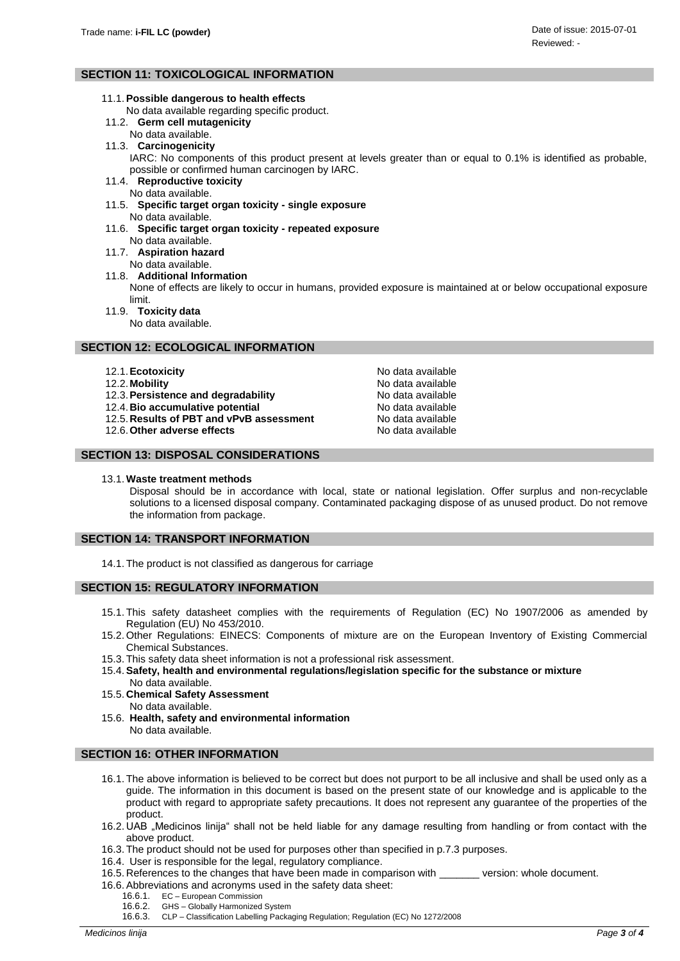# **SECTION 11: TOXICOLOGICAL INFORMATION**

### 11.1.**Possible dangerous to health effects**

- No data available regarding specific product.
- 11.2. **Germ cell mutagenicity**
- No data available.
- 11.3. **Carcinogenicity**
	- IARC: No components of this product present at levels greater than or equal to 0.1% is identified as probable, possible or confirmed human carcinogen by IARC.
- 11.4. **Reproductive toxicity** No data available.
- 11.5. **Specific target organ toxicity - single exposure** No data available.
- 11.6. **Specific target organ toxicity - repeated exposure** No data available.
- 11.7. **Aspiration hazard**
	- No data available.
- 11.8. **Additional Information**

None of effects are likely to occur in humans, provided exposure is maintained at or below occupational exposure limit.

- 11.9. **Toxicity data**
	- No data available.

# **SECTION 12: ECOLOGICAL INFORMATION**

- 12.1. **Ecotoxicity No data available No data available**
- 
- 12.2. Mobility<br>12.3. Persistence and degradability<br>12.3. Persistence and degradability<br>12.3. Persistence and degradability 12.3. Persistence and degradability
- 12.4. **Bio accumulative potential** No data available
- 12.5. **Results of PBT and vPvB assessment** No data available<br>12.6. Other adverse effects No data available
- 12.6. Other adverse effects

# **SECTION 13: DISPOSAL CONSIDERATIONS**

13.1. **Waste treatment methods**

Disposal should be in accordance with local, state or national legislation. Offer surplus and non-recyclable solutions to a licensed disposal company. Contaminated packaging dispose of as unused product. Do not remove the information from package.

# **SECTION 14: TRANSPORT INFORMATION**

14.1. The product is not classified as dangerous for carriage

# **SECTION 15: REGULATORY INFORMATION**

- 15.1. This safety datasheet complies with the requirements of Regulation (EC) No 1907/2006 as amended by Regulation (EU) No 453/2010.
- 15.2. Other Regulations: EINECS: Components of mixture are on the European Inventory of Existing Commercial Chemical Substances.
- 15.3. This safety data sheet information is not a professional risk assessment.
- 15.4.**Safety, health and environmental regulations/legislation specific for the substance or mixture**
- No data available. 15.5. **Chemical Safety Assessment**
	- No data available.
- 15.6. **Health, safety and environmental information** No data available.

# **SECTION 16: OTHER INFORMATION**

- 16.1. The above information is believed to be correct but does not purport to be all inclusive and shall be used only as a guide. The information in this document is based on the present state of our knowledge and is applicable to the product with regard to appropriate safety precautions. It does not represent any guarantee of the properties of the product.
- 16.2. UAB "Medicinos linija" shall not be held liable for any damage resulting from handling or from contact with the above product.
- 16.3. The product should not be used for purposes other than specified in p.7.3 purposes.
- 16.4. User is responsible for the legal, regulatory compliance.
- 16.5. References to the changes that have been made in comparison with \_\_\_\_\_\_\_ version: whole document.
- 16.6.Abbreviations and acronyms used in the safety data sheet:
	- 16.6.1. EC European Commission
	- 16.6.2. GHS Globally Harmonized System<br>16.6.3. CLP Classification Labelling Packa
	- 16.6.3. CLP Classification Labelling Packaging Regulation; Regulation (EC) No 1272/2008